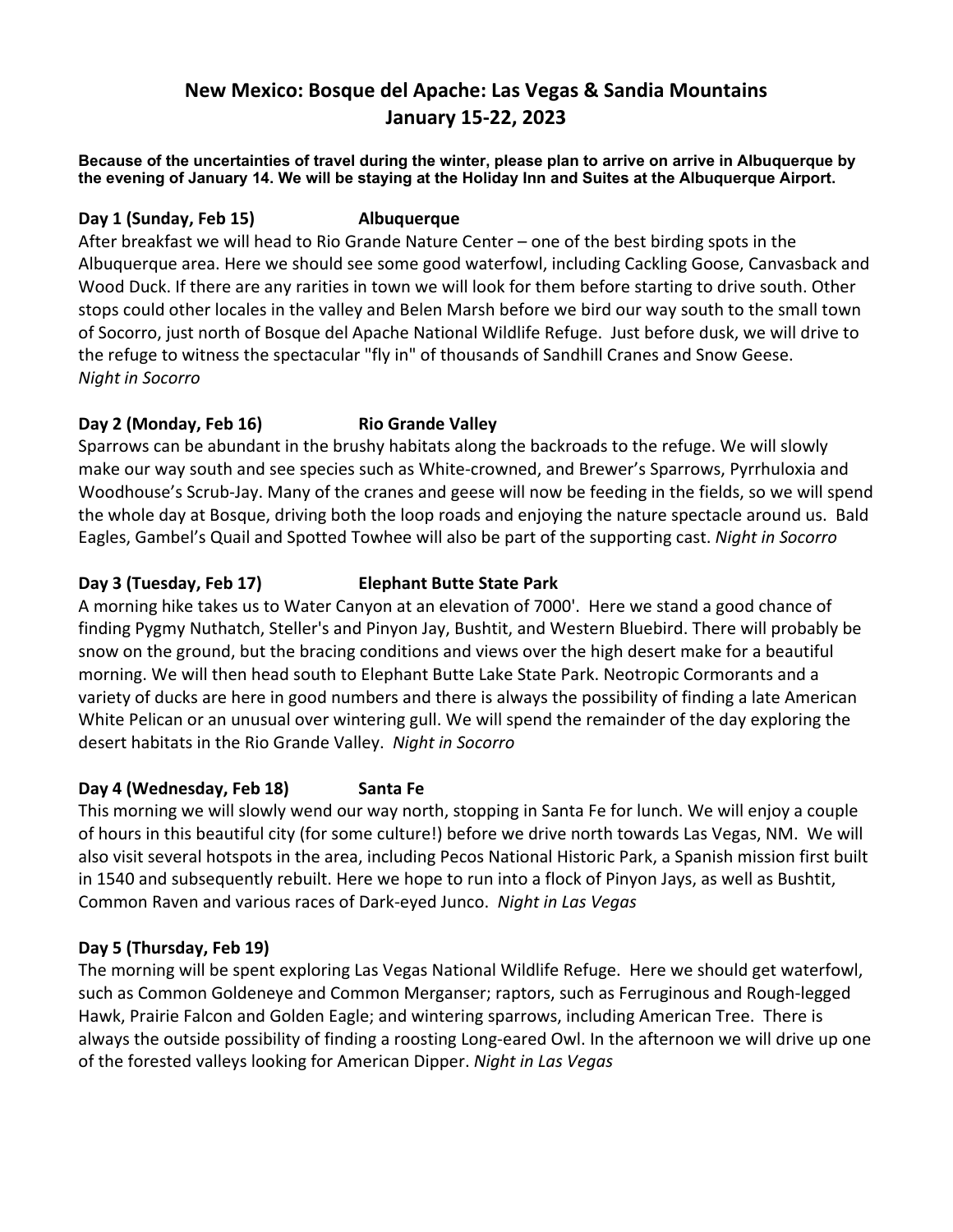# **New Mexico: Bosque del Apache: Las Vegas & Sandia Mountains January 15-22, 2023**

**Because of the uncertainties of travel during the winter, please plan to arrive on arrive in Albuquerque by the evening of January 14. We will be staying at the Holiday Inn and Suites at the Albuquerque Airport.** 

#### **Day 1 (Sunday, Feb 15) Albuquerque**

After breakfast we will head to Rio Grande Nature Center – one of the best birding spots in the Albuquerque area. Here we should see some good waterfowl, including Cackling Goose, Canvasback and Wood Duck. If there are any rarities in town we will look for them before starting to drive south. Other stops could other locales in the valley and Belen Marsh before we bird our way south to the small town of Socorro, just north of Bosque del Apache National Wildlife Refuge. Just before dusk, we will drive to the refuge to witness the spectacular "fly in" of thousands of Sandhill Cranes and Snow Geese. *Night in Socorro*

## **Day 2 (Monday, Feb 16) Rio Grande Valley**

Sparrows can be abundant in the brushy habitats along the backroads to the refuge. We will slowly make our way south and see species such as White-crowned, and Brewer's Sparrows, Pyrrhuloxia and Woodhouse's Scrub-Jay. Many of the cranes and geese will now be feeding in the fields, so we will spend the whole day at Bosque, driving both the loop roads and enjoying the nature spectacle around us. Bald Eagles, Gambel's Quail and Spotted Towhee will also be part of the supporting cast. *Night in Socorro*

## **Day 3 (Tuesday, Feb 17) Elephant Butte State Park**

A morning hike takes us to Water Canyon at an elevation of 7000'. Here we stand a good chance of finding Pygmy Nuthatch, Steller's and Pinyon Jay, Bushtit, and Western Bluebird. There will probably be snow on the ground, but the bracing conditions and views over the high desert make for a beautiful morning. We will then head south to Elephant Butte Lake State Park. Neotropic Cormorants and a variety of ducks are here in good numbers and there is always the possibility of finding a late American White Pelican or an unusual over wintering gull. We will spend the remainder of the day exploring the desert habitats in the Rio Grande Valley. *Night in Socorro* 

## **Day 4 (Wednesday, Feb 18) Santa Fe**

This morning we will slowly wend our way north, stopping in Santa Fe for lunch. We will enjoy a couple of hours in this beautiful city (for some culture!) before we drive north towards Las Vegas, NM. We will also visit several hotspots in the area, including Pecos National Historic Park, a Spanish mission first built in 1540 and subsequently rebuilt. Here we hope to run into a flock of Pinyon Jays, as well as Bushtit, Common Raven and various races of Dark-eyed Junco. *Night in Las Vegas*

## **Day 5 (Thursday, Feb 19)**

The morning will be spent exploring Las Vegas National Wildlife Refuge. Here we should get waterfowl, such as Common Goldeneye and Common Merganser; raptors, such as Ferruginous and Rough-legged Hawk, Prairie Falcon and Golden Eagle; and wintering sparrows, including American Tree. There is always the outside possibility of finding a roosting Long-eared Owl. In the afternoon we will drive up one of the forested valleys looking for American Dipper. *Night in Las Vegas*